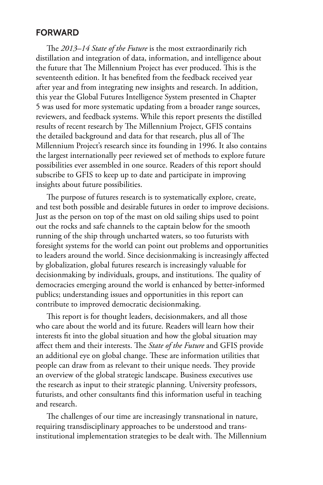## **FORWARD**

The *2013–14 State of the Future* is the most extraordinarily rich distillation and integration of data, information, and intelligence about the future that The Millennium Project has ever produced. This is the seventeenth edition. It has benefited from the feedback received year after year and from integrating new insights and research. In addition, this year the Global Futures Intelligence System presented in Chapter 5 was used for more systematic updating from a broader range sources, reviewers, and feedback systems. While this report presents the distilled results of recent research by The Millennium Project, GFIS contains the detailed background and data for that research, plus all of The Millennium Project's research since its founding in 1996. It also contains the largest internationally peer reviewed set of methods to explore future possibilities ever assembled in one source. Readers of this report should subscribe to GFIS to keep up to date and participate in improving insights about future possibilities.

The purpose of futures research is to systematically explore, create, and test both possible and desirable futures in order to improve decisions. Just as the person on top of the mast on old sailing ships used to point out the rocks and safe channels to the captain below for the smooth running of the ship through uncharted waters, so too futurists with foresight systems for the world can point out problems and opportunities to leaders around the world. Since decisionmaking is increasingly affected by globalization, global futures research is increasingly valuable for decisionmaking by individuals, groups, and institutions. The quality of democracies emerging around the world is enhanced by better-informed publics; understanding issues and opportunities in this report can contribute to improved democratic decisionmaking.

This report is for thought leaders, decisionmakers, and all those who care about the world and its future. Readers will learn how their interests fit into the global situation and how the global situation may affect them and their interests. The *State of the Future* and GFIS provide an additional eye on global change. These are information utilities that people can draw from as relevant to their unique needs. They provide an overview of the global strategic landscape. Business executives use the research as input to their strategic planning. University professors, futurists, and other consultants find this information useful in teaching and research.

The challenges of our time are increasingly transnational in nature, requiring transdisciplinary approaches to be understood and transinstitutional implementation strategies to be dealt with. The Millennium